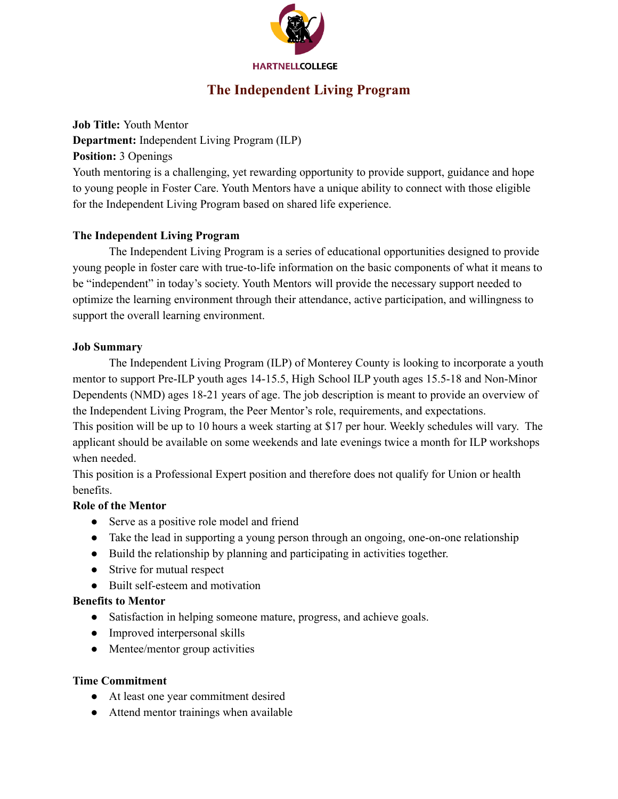

# **The Independent Living Program**

#### **Job Title:** Youth Mentor

**Department:** Independent Living Program (ILP)

**Position:** 3 Openings

Youth mentoring is a challenging, yet rewarding opportunity to provide support, guidance and hope to young people in Foster Care. Youth Mentors have a unique ability to connect with those eligible for the Independent Living Program based on shared life experience.

# **The Independent Living Program**

The Independent Living Program is a series of educational opportunities designed to provide young people in foster care with true-to-life information on the basic components of what it means to be "independent" in today's society. Youth Mentors will provide the necessary support needed to optimize the learning environment through their attendance, active participation, and willingness to support the overall learning environment.

#### **Job Summary**

The Independent Living Program (ILP) of Monterey County is looking to incorporate a youth mentor to support Pre-ILP youth ages 14-15.5, High School ILP youth ages 15.5-18 and Non-Minor Dependents (NMD) ages 18-21 years of age. The job description is meant to provide an overview of the Independent Living Program, the Peer Mentor's role, requirements, and expectations.

This position will be up to 10 hours a week starting at \$17 per hour. Weekly schedules will vary. The applicant should be available on some weekends and late evenings twice a month for ILP workshops when needed.

This position is a Professional Expert position and therefore does not qualify for Union or health benefits.

#### **Role of the Mentor**

- Serve as a positive role model and friend
- Take the lead in supporting a young person through an ongoing, one-on-one relationship
- Build the relationship by planning and participating in activities together.
- Strive for mutual respect
- Built self-esteem and motivation

#### **Benefits to Mentor**

- Satisfaction in helping someone mature, progress, and achieve goals.
- Improved interpersonal skills
- Mentee/mentor group activities

#### **Time Commitment**

- At least one year commitment desired
- Attend mentor trainings when available